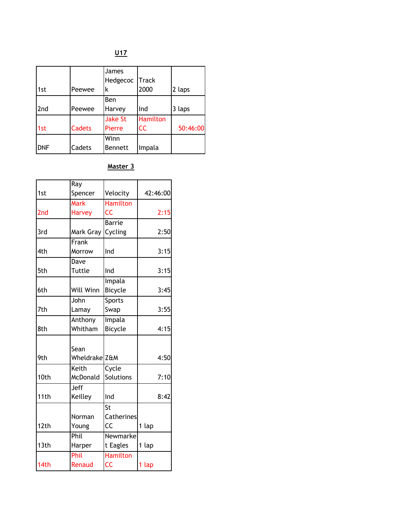$U17$ </u>

| 1st        | Peewee | James<br>Hedgecoc<br>k   | Track<br>2000                | 2 laps   |
|------------|--------|--------------------------|------------------------------|----------|
| 2nd        | Peewee | Ben<br>Harvey            | Ind                          | 3 laps   |
| 1st        | Cadets | <b>Jake St</b><br>Pierre | <b>Hamilton</b><br><b>CC</b> | 50:46:00 |
| <b>DNF</b> | Cadets | Winn<br><b>Bennett</b>   | Impala                       |          |

### Master 3

|                 | Ray           |                  |       |          |
|-----------------|---------------|------------------|-------|----------|
| 1st             | Spencer       | Velocity         |       | 42:46:00 |
|                 | <b>Mark</b>   | <b>Hamilton</b>  |       |          |
| 2 <sub>nd</sub> | <b>Harvey</b> | CC               |       | 2:15     |
|                 |               | <b>Barrie</b>    |       |          |
| 3rd             | Mark Gray     | Cycling          |       | 2:50     |
|                 | Frank         |                  |       |          |
| 4th             | Morrow        | Ind              |       | 3:15     |
|                 | Dave          |                  |       |          |
| 5th             | Tuttle        | Ind              |       | 3:15     |
|                 |               | Impala           |       |          |
| 6th             | Will Winn     | Bicycle          |       | 3:45     |
|                 | John          | Sports           |       |          |
| 7th             | Lamay         | Swap             |       | 3:55     |
|                 | Anthony       | Impala           |       |          |
| 8th             | Whitham       | Bicycle          |       | 4:15     |
|                 |               |                  |       |          |
|                 | Sean          |                  |       |          |
| 9th             | Wheldrake Z&M |                  |       | 4:50     |
|                 | Keith         | Cycle            |       |          |
| 10th            | McDonald      | <b>Solutions</b> |       | 7:10     |
|                 | Jeff          |                  |       |          |
| 11th            | Keilley       | Ind              |       | 8:42     |
|                 |               | St               |       |          |
|                 | Norman        | Catherines       |       |          |
| 12th            | Young         | CC               | 1 lap |          |
|                 | Phil          | Newmarke         |       |          |
| 13th            | Harper        | t Eagles         | 1 lap |          |
|                 | Phil          | <b>Hamilton</b>  |       |          |
| 14th            | Renaud        | CC               | 1 lap |          |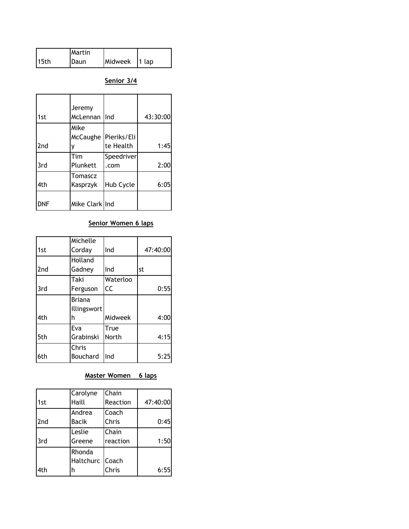|                  | Martin |               |  |
|------------------|--------|---------------|--|
| 15 <sub>th</sub> | Daun   | Midweek 1 lap |  |

Senior 3/4

|                 | Jeremy         |                      |          |
|-----------------|----------------|----------------------|----------|
| 1st             | McLennan       | Ind                  | 43:30:00 |
|                 | Mike           |                      |          |
|                 |                | McCaughe Pieriks/Eli |          |
| 2 <sub>nd</sub> |                | te Health            | 1:45     |
|                 | Tim            | Speedriver           |          |
| 3rd             | Plunkett       | .com                 | 2:00     |
|                 | <b>Tomascz</b> |                      |          |
| 4th             | Kasprzyk       | Hub Cycle            | 6:05     |
| DNF             | Mike Clark Ind |                      |          |

# Senior Women 6 laps

|                 | Michelle       |          |          |
|-----------------|----------------|----------|----------|
| 1st             | Corday         | Ind      | 47:40:00 |
|                 | <b>Holland</b> |          |          |
| 2 <sub>nd</sub> | Gadney         | Ind      | st       |
|                 | Taki           | Waterloo |          |
| 3rd             | Ferguson       | CC       | 0:55     |
|                 | <b>Briana</b>  |          |          |
|                 | Illingswort    |          |          |
| 4th             | h              | Midweek  | 4:00     |
|                 | Eva            | True     |          |
| 5th             | Grabinski      | North    | 4:15     |
|                 | Chris          |          |          |
| 6th             | Bouchard       | Ind      | 5:25     |

## Master Women 6 laps

|                 | Carolyne        | Chain    |          |
|-----------------|-----------------|----------|----------|
| 1st             | Haill           | Reaction | 47:40:00 |
|                 | Andrea          | Coach    |          |
| 2 <sub>nd</sub> | Bacik           | Chris    | 0:45     |
|                 | Leslie          | Chain    |          |
| 3rd             | Greene          | reaction | 1:50     |
|                 | Rhonda          |          |          |
|                 | Haltchurc Coach |          |          |
| 4th             | h               | Chris    | 6:55     |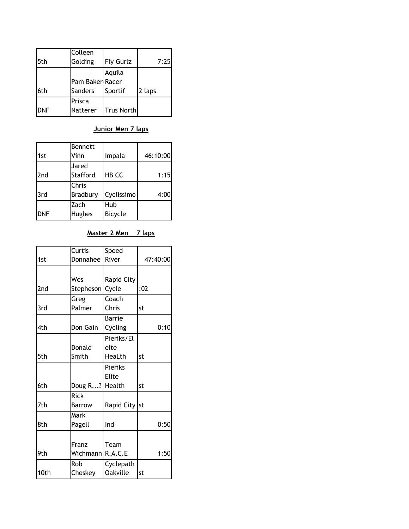|            | Colleen         |                   |        |
|------------|-----------------|-------------------|--------|
| 5th        | Golding         | <b>Fly Gurlz</b>  | 7:25   |
|            |                 | Aquila            |        |
|            | Pam Baker Racer |                   |        |
| 6th        | Sanders         | Sportif           | 2 laps |
|            | Prisca          |                   |        |
| <b>DNF</b> | Natterer        | <b>Trus North</b> |        |

### Junior Men 7 laps

| 1st        | Bennett<br>Vinn   | Impala                | 46:10:00 |
|------------|-------------------|-----------------------|----------|
|            |                   |                       |          |
| 2nd        | Jared<br>Stafford | <b>HB CC</b>          | 1:15     |
| 3rd        | Chris<br>Bradbury | Cyclissimo            | 4:00     |
| <b>DNF</b> | Zach<br>Hughes    | Hub<br><b>Bicycle</b> |          |

## Master 2 Men 7 laps

|      | Curtis           | Speed             |          |
|------|------------------|-------------------|----------|
| 1st  | Donnahee         | River             | 47:40:00 |
|      |                  |                   |          |
|      | Wes              | <b>Rapid City</b> |          |
| 2nd  | Stepheson        | Cycle             | :02      |
|      | Greg             | Coach             |          |
| 3rd  | Palmer           | Chris             | st       |
|      |                  | <b>Barrie</b>     |          |
| 4th  | Don Gain         | Cycling           | 0:10     |
|      |                  | Pieriks/El        |          |
|      | Donald           | eite              |          |
| 5th  | Smith            | HeaLth            | st       |
|      |                  | Pieriks           |          |
|      |                  | Elite             |          |
| 6th  | Doug R? Health   |                   | st       |
|      | <b>Rick</b>      |                   |          |
| 7th  | <b>Barrow</b>    | Rapid City st     |          |
|      | Mark             |                   |          |
| 8th  | Pagell           | Ind               | 0:50     |
|      |                  |                   |          |
|      | Franz            | Team              |          |
| 9th  | Wichmann R.A.C.E |                   | 1:50     |
|      | Rob              | Cyclepath         |          |
| 10th | Cheskey          | <b>Oakville</b>   | st       |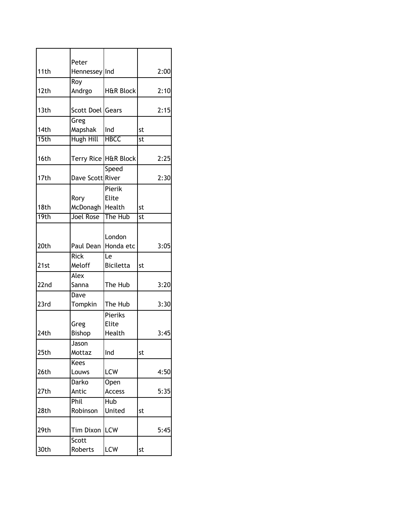| 11th | Peter                |                      | 2:00 |
|------|----------------------|----------------------|------|
|      | Hennessey Ind        |                      |      |
| 12th | Roy<br>Andrgo        | <b>H&amp;R Block</b> | 2:10 |
|      |                      |                      |      |
| 13th | Scott Doel Gears     |                      | 2:15 |
|      | Greg                 |                      |      |
| 14th | Mapshak              | Ind                  | st   |
| 15th | Hugh Hill            | <b>HBCC</b>          | st   |
|      |                      |                      |      |
| 16th | Terry Rice H&R Block |                      | 2:25 |
|      |                      | Speed                |      |
| 17th | Dave Scott River     |                      | 2:30 |
|      |                      | Pierik               |      |
|      | Rory                 | <b>Elite</b>         |      |
| 18th | McDonagh             | Health               | st   |
| 19th | <b>Joel Rose</b>     | The Hub              | st   |
|      |                      |                      |      |
|      |                      | London               |      |
| 20th | Paul Dean            | Honda etc            | 3:05 |
|      | <b>Rick</b>          | Le                   |      |
| 21st | Meloff               | <b>Biciletta</b>     | st   |
|      | Alex                 |                      |      |
| 22nd | Sanna                | The Hub              | 3:20 |
|      | Dave                 |                      |      |
| 23rd | Tompkin              | The Hub              | 3:30 |
|      |                      | Pieriks              |      |
|      | Greg                 | Elite                |      |
| 24th | Bishop               |                      |      |
|      |                      | Health               | 3:45 |
|      | Jason                |                      |      |
| 25th | Mottaz               | Ind                  | st   |
|      | Kees                 |                      |      |
| 26th | Louws                | LCW                  | 4:50 |
|      | Darko                | Open                 |      |
| 27th | Antic                | Access               | 5:35 |
|      | Phil                 | Hub                  |      |
| 28th | Robinson             | United               | st   |
| 29th | Tim Dixon            | LCW                  | 5:45 |
|      | Scott                |                      |      |